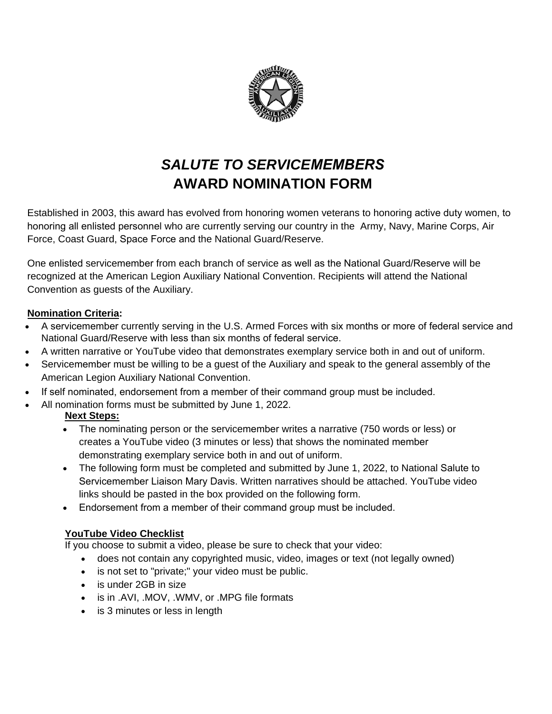

## *SALUTE TO SERVICEMEMBERS* **AWARD NOMINATION FORM**

Established in 2003, this award has evolved from honoring women veterans to honoring active duty women, to honoring all enlisted personnel who are currently serving our country in the Army, Navy, Marine Corps, Air Force, Coast Guard, Space Force and the National Guard/Reserve.

One enlisted servicemember from each branch of service as well as the National Guard/Reserve will be recognized at the American Legion Auxiliary National Convention. Recipients will attend the National Convention as guests of the Auxiliary.

## **Nomination Criteria:**

- A servicemember currently serving in the U.S. Armed Forces with six months or more of federal service and National Guard/Reserve with less than six months of federal service.
- A written narrative or YouTube video that demonstrates exemplary service both in and out of uniform.
- Servicemember must be willing to be a guest of the Auxiliary and speak to the general assembly of the American Legion Auxiliary National Convention.
- If self nominated, endorsement from a member of their command group must be included.
- All nomination forms must be submitted by June 1, 2022.

## **Next Steps:**

- The nominating person or the servicemember writes a narrative (750 words or less) or creates a YouTube video (3 minutes or less) that shows the nominated member demonstrating exemplary service both in and out of uniform.
- The following form must be completed and submitted by June 1, 2022, to National Salute to Servicemember Liaison Mary Davis. Written narratives should be attached. YouTube video links should be pasted in the box provided on the following form.
- Endorsement from a member of their command group must be included.

## **YouTube Video Checklist**

If you choose to submit a video, please be sure to check that your video:

- does not contain any copyrighted music, video, images or text (not legally owned)
- is not set to "private;" your video must be public.
- is under 2GB in size
- is in .AVI, .MOV, .WMV, or .MPG file formats
- is 3 minutes or less in length